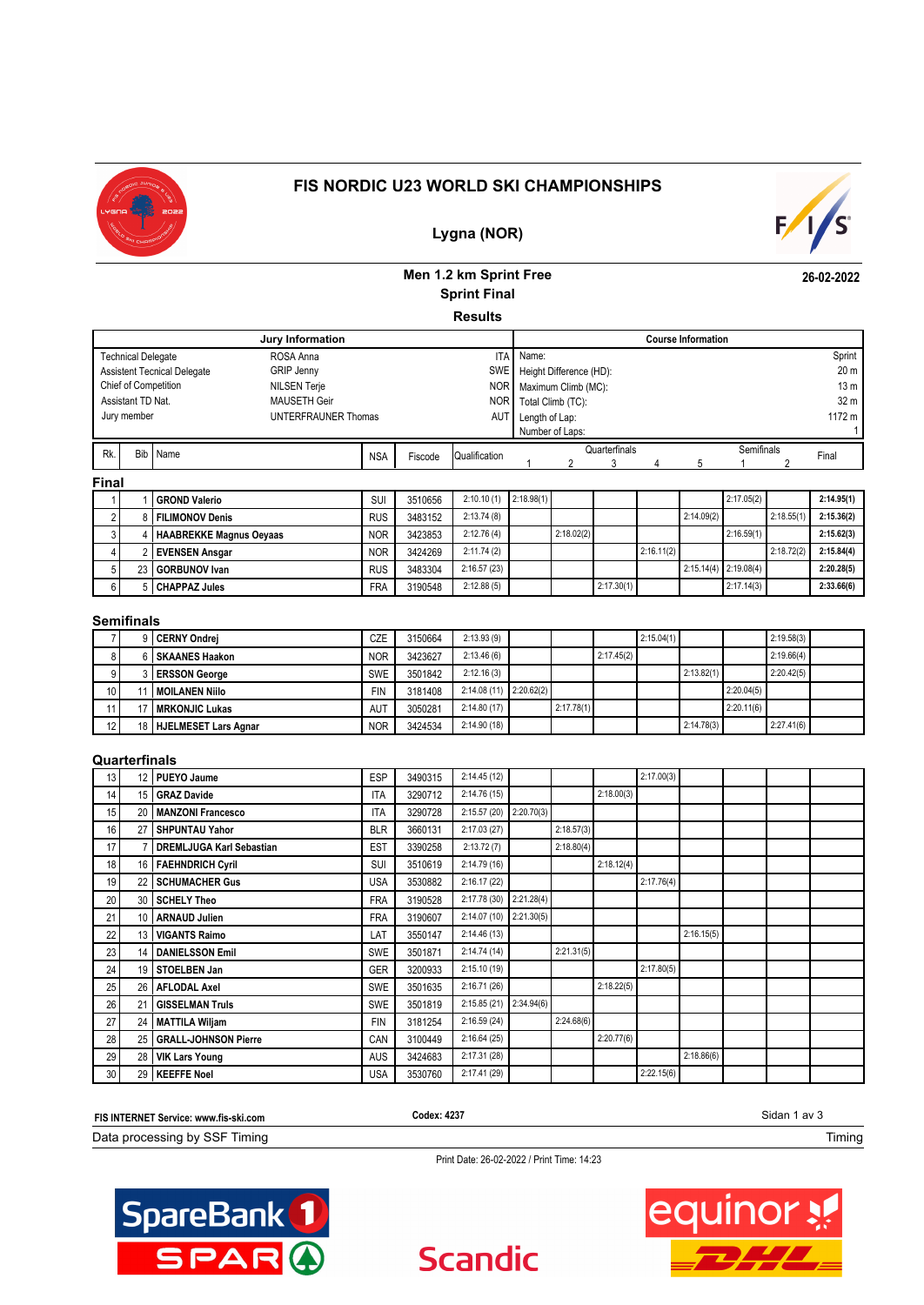

# **FIS NORDIC U23 WORLD SKI CHAMPIONSHIPS**



**26-02-2022**

# **Lygna (NOR)**

# **Men 1.2 km Sprint Free Sprint Final**

**Results**

| Jury Information                                          |            |         |               | <b>Course Information</b> |                     |               |  |  |            |                 |                 |
|-----------------------------------------------------------|------------|---------|---------------|---------------------------|---------------------|---------------|--|--|------------|-----------------|-----------------|
| ROSA Anna<br><b>Technical Delegate</b>                    |            |         | <b>ITA</b>    | Name:                     |                     |               |  |  |            |                 | Sprint          |
| <b>GRIP Jenny</b><br><b>Assistent Tecnical Delegate</b>   | <b>SWE</b> |         |               | Height Difference (HD):   |                     |               |  |  |            | 20 <sub>m</sub> |                 |
| <b>NOR</b><br>Chief of Competition<br><b>NILSEN Terje</b> |            |         |               |                           | Maximum Climb (MC): |               |  |  |            |                 | 13 <sub>m</sub> |
| <b>MAUSETH Geir</b><br><b>NOR</b><br>Assistant TD Nat.    |            |         |               | Total Climb (TC):         |                     |               |  |  |            | 32 m            |                 |
| Jury member<br>UNTERFRAUNER Thomas                        |            |         | AUT           | Length of Lap:            |                     |               |  |  |            |                 | 1172 m          |
|                                                           |            |         |               | Number of Laps:           |                     |               |  |  |            |                 |                 |
| Rk.<br><b>Bib</b><br>Name                                 | <b>NSA</b> | Fiscode | Qualification |                           |                     | Quarterfinals |  |  | Semifinals |                 | Final           |
|                                                           |            |         |               |                           |                     |               |  |  |            |                 |                 |
| <b>Final</b>                                              |            |         |               |                           |                     |               |  |  |            |                 |                 |

|    |  | I GROND Valerio         | SUI        | 3510656 | 2:10.10(1)  | 2:18.98(1) |            |            |            |            | 2:17.05(2)                |            | 2:14.95(1) |
|----|--|-------------------------|------------|---------|-------------|------------|------------|------------|------------|------------|---------------------------|------------|------------|
|    |  | 8   FILIMONOV Denis     | <b>RUS</b> | 3483152 | 2:13.74(8)  |            |            |            |            | 2:14.09(2) |                           | 2:18.55(1) | 2:15.36(2) |
|    |  | HAABREKKE Magnus Oeyaas | <b>NOR</b> | 3423853 | 2:12.76(4)  |            | 2:18.02(2) |            |            |            | 2:16.59(1)                |            | 2:15.62(3) |
|    |  | 2 I EVENSEN Ansaar      | <b>NOR</b> | 3424269 | 2:11.74(2)  |            |            |            | 2:16.11(2) |            |                           | 2:18.72(2) | 2:15.84(4) |
|    |  | 23 GORBUNOV Ivan        | <b>RUS</b> | 3483304 | 2:16.57(23) |            |            |            |            |            | $2:15.14(4)$ $2:19.08(4)$ |            | 2:20.28(5) |
| 61 |  | 5 CHAPPAZ Jules         | <b>FRA</b> | 3190548 | 2:12.88(5)  |            |            | 2:17.30(1) |            |            | 2:17.14(3)                |            | 2:33.66(6) |

### **Semifinals**

|                 | 9 CERNY Ondrei          | <b>CZE</b> | 3150664 | 2:13.93(9)               |            |            | 2:15.04(1) |            |            | 2:19.58(3) |  |
|-----------------|-------------------------|------------|---------|--------------------------|------------|------------|------------|------------|------------|------------|--|
| 81              | 6 SKAANES Haakon        | <b>NOR</b> | 3423627 | 2:13.46(6)               |            | 2:17.45(2) |            |            |            | 2:19.66(4) |  |
| 91              | 3 ERSSON George         | <b>SWE</b> | 3501842 | 2:12.16(3)               |            |            |            | 2:13.82(1) |            | 2:20.42(5) |  |
| 10 <sup>1</sup> | I MOILANEN Niilo        | <b>FIN</b> | 3181408 | $2:14.08(11)$ 2:20.62(2) |            |            |            |            | 2:20.04(5) |            |  |
|                 | 17   MRKONJIC Lukas     | <b>AUT</b> | 3050281 | 2:14.80(17)              | 2:17.78(1) |            |            |            | 2:20.11(6) |            |  |
| 12              | 18 HJELMESET Lars Agnar | <b>NOR</b> | 3424534 | 2:14.90(18)              |            |            |            | 2:14.78(3) |            | 2:27.41(6) |  |

## **Quarterfinals**

| 13              | 12 PUEYO Jaume                  | <b>ESP</b> | 3490315 | 2:14.45(12)  |            |            |            | 2:17.00(3) |            |  |  |
|-----------------|---------------------------------|------------|---------|--------------|------------|------------|------------|------------|------------|--|--|
| 14              | 15 GRAZ Davide                  | <b>ITA</b> | 3290712 | 2:14.76(15)  |            |            | 2:18.00(3) |            |            |  |  |
| 15              | 20   MANZONI Francesco          | <b>ITA</b> | 3290728 | 2:15.57 (20) | 2:20.70(3) |            |            |            |            |  |  |
| 16              | 27 SHPUNTAU Yahor               | <b>BLR</b> | 3660131 | 2:17.03(27)  |            | 2:18.57(3) |            |            |            |  |  |
| 17              | <b>DREMLJUGA Karl Sebastian</b> | <b>EST</b> | 3390258 | 2:13.72(7)   |            | 2:18.80(4) |            |            |            |  |  |
| 18              | 16 FAEHNDRICH Cyril             | SUI        | 3510619 | 2:14.79(16)  |            |            | 2:18.12(4) |            |            |  |  |
| 19              | 22 SCHUMACHER Gus               | <b>USA</b> | 3530882 | 2:16.17(22)  |            |            |            | 2:17.76(4) |            |  |  |
| 20              | 30 SCHELY Theo                  | <b>FRA</b> | 3190528 | 2:17.78 (30) | 2:21.28(4) |            |            |            |            |  |  |
| 21              | 10   ARNAUD Julien              | <b>FRA</b> | 3190607 | 2:14.07 (10) | 2:21.30(5) |            |            |            |            |  |  |
| 22              | 13   VIGANTS Raimo              | LAT        | 3550147 | 2:14.46(13)  |            |            |            |            | 2:16.15(5) |  |  |
| 23              | 14   DANIELSSON Emil            | SWE        | 3501871 | 2:14.74(14)  |            | 2:21.31(5) |            |            |            |  |  |
| 24              | 19 STOELBEN Jan                 | GER        | 3200933 | 2:15.10(19)  |            |            |            | 2:17.80(5) |            |  |  |
| 25              | 26 AFLODAL Axel                 | SWE        | 3501635 | 2:16.71(26)  |            |            | 2:18.22(5) |            |            |  |  |
| 26              | 21 GISSELMAN Truls              | SWE        | 3501819 | 2:15.85(21)  | 2:34.94(6) |            |            |            |            |  |  |
| 27              | 24 MATTILA Wiljam               | <b>FIN</b> | 3181254 | 2:16.59(24)  |            | 2:24.68(6) |            |            |            |  |  |
| 28              | 25 GRALL-JOHNSON Pierre         | CAN        | 3100449 | 2:16.64(25)  |            |            | 2:20.77(6) |            |            |  |  |
| 29              | 28   VIK Lars Young             | <b>AUS</b> | 3424683 | 2:17.31 (28) |            |            |            |            | 2:18.86(6) |  |  |
| 30 <sub>1</sub> | 29   KEEFFE Noel                | <b>USA</b> | 3530760 | 2:17.41 (29) |            |            |            | 2:22.15(6) |            |  |  |

| FIS INTERNET Service: www.fis-ski.com | Codex: 4237 | sidan 1<br>av S |
|---------------------------------------|-------------|-----------------|
| Data processing by SSF<br>Timina      |             | . iming         |

**Scandic** 

Print Date: 26-02-2022 / Print Time: 14:23



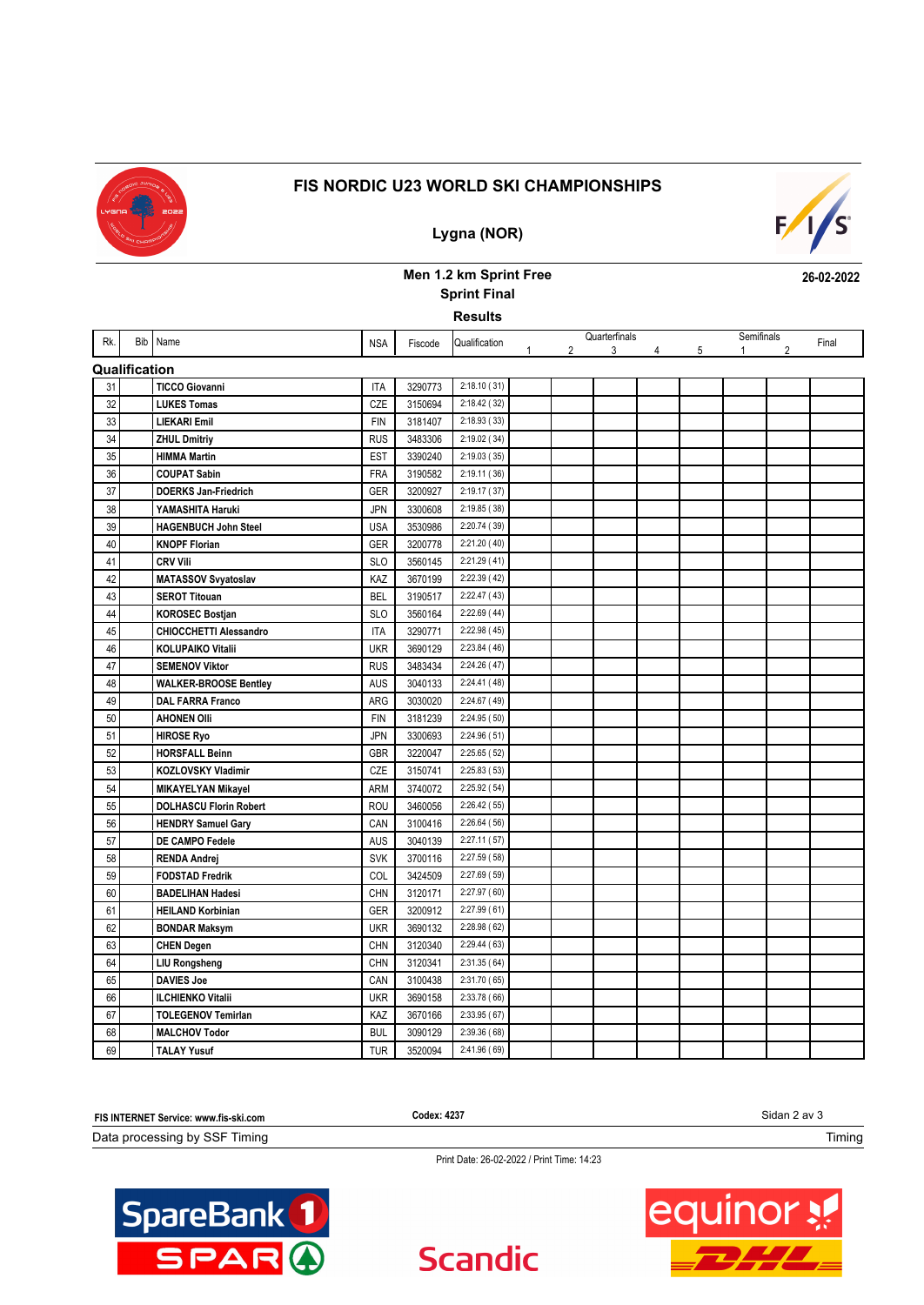

# **FIS NORDIC U23 WORLD SKI CHAMPIONSHIPS**

**Lygna (NOR)**

# $F/I/S^c$

**26-02-2022**

# **Men 1.2 km Sprint Free Sprint Final**

**Results**

| Rk.           | Bib Name                      | <b>NSA</b> | Fiscode | Qualification |                | Quarterfinals |   |   | Semifinals   |                | Final |
|---------------|-------------------------------|------------|---------|---------------|----------------|---------------|---|---|--------------|----------------|-------|
|               |                               |            |         |               | $\overline{2}$ | 3             | 4 | 5 | $\mathbf{1}$ | $\overline{2}$ |       |
| Qualification |                               |            |         |               |                |               |   |   |              |                |       |
| 31            | <b>TICCO Giovanni</b>         | <b>ITA</b> | 3290773 | 2:18.10(31)   |                |               |   |   |              |                |       |
| 32            | <b>LUKES Tomas</b>            | CZE        | 3150694 | 2:18.42 (32)  |                |               |   |   |              |                |       |
| 33            | <b>LIEKARI Emil</b>           | <b>FIN</b> | 3181407 | 2:18.93 (33)  |                |               |   |   |              |                |       |
| 34            | <b>ZHUL Dmitriy</b>           | <b>RUS</b> | 3483306 | 2:19.02 (34)  |                |               |   |   |              |                |       |
| 35            | <b>HIMMA Martin</b>           | <b>EST</b> | 3390240 | 2:19.03(35)   |                |               |   |   |              |                |       |
| 36            | <b>COUPAT Sabin</b>           | <b>FRA</b> | 3190582 | 2:19.11(36)   |                |               |   |   |              |                |       |
| 37            | <b>DOERKS Jan-Friedrich</b>   | <b>GER</b> | 3200927 | 2:19.17 (37)  |                |               |   |   |              |                |       |
| 38            | YAMASHITA Haruki              | <b>JPN</b> | 3300608 | 2:19.85 (38)  |                |               |   |   |              |                |       |
| 39            | <b>HAGENBUCH John Steel</b>   | <b>USA</b> | 3530986 | 2:20.74 (39)  |                |               |   |   |              |                |       |
| 40            | <b>KNOPF Florian</b>          | <b>GER</b> | 3200778 | 2:21.20 (40)  |                |               |   |   |              |                |       |
| 41            | <b>CRV Vili</b>               | <b>SLO</b> | 3560145 | 2:21.29(41)   |                |               |   |   |              |                |       |
| 42            | <b>MATASSOV Svyatoslav</b>    | KAZ        | 3670199 | 2:22.39(42)   |                |               |   |   |              |                |       |
| 43            | <b>SEROT Titouan</b>          | <b>BEL</b> | 3190517 | 2:22.47 (43)  |                |               |   |   |              |                |       |
| 44            | <b>KOROSEC Bostjan</b>        | <b>SLO</b> | 3560164 | 2:22.69(44)   |                |               |   |   |              |                |       |
| 45            | <b>CHIOCCHETTI Alessandro</b> | <b>ITA</b> | 3290771 | 2:22.98 (45)  |                |               |   |   |              |                |       |
| 46            | <b>KOLUPAIKO Vitalii</b>      | <b>UKR</b> | 3690129 | 2:23.84(46)   |                |               |   |   |              |                |       |
| 47            | <b>SEMENOV Viktor</b>         | <b>RUS</b> | 3483434 | 2:24.26(47)   |                |               |   |   |              |                |       |
| 48            | <b>WALKER-BROOSE Bentley</b>  | <b>AUS</b> | 3040133 | 2:24.41 (48)  |                |               |   |   |              |                |       |
| 49            | <b>DAL FARRA Franco</b>       | ARG        | 3030020 | 2:24.67 (49)  |                |               |   |   |              |                |       |
| 50            | <b>AHONEN Olli</b>            | <b>FIN</b> | 3181239 | 2:24.95 (50)  |                |               |   |   |              |                |       |
| 51            | <b>HIROSE Ryo</b>             | <b>JPN</b> | 3300693 | 2:24.96 (51)  |                |               |   |   |              |                |       |
| 52            | <b>HORSFALL Beinn</b>         | <b>GBR</b> | 3220047 | 2:25.65(52)   |                |               |   |   |              |                |       |
| 53            | KOZLOVSKY Vladimir            | CZE        | 3150741 | 2:25.83(53)   |                |               |   |   |              |                |       |
| 54            | <b>MIKAYELYAN Mikayel</b>     | ARM        | 3740072 | 2:25.92(54)   |                |               |   |   |              |                |       |
| 55            | <b>DOLHASCU Florin Robert</b> | <b>ROU</b> | 3460056 | 2:26.42(55)   |                |               |   |   |              |                |       |
| 56            | <b>HENDRY Samuel Gary</b>     | CAN        | 3100416 | 2:26.64(56)   |                |               |   |   |              |                |       |
| 57            | DE CAMPO Fedele               | <b>AUS</b> | 3040139 | 2:27.11(57)   |                |               |   |   |              |                |       |
| 58            | <b>RENDA Andrej</b>           | <b>SVK</b> | 3700116 | 2:27.59 (58)  |                |               |   |   |              |                |       |
| 59            | <b>FODSTAD Fredrik</b>        | COL        | 3424509 | 2:27.69 (59)  |                |               |   |   |              |                |       |
| 60            | <b>BADELIHAN Hadesi</b>       | <b>CHN</b> | 3120171 | 2:27.97 (60)  |                |               |   |   |              |                |       |
| 61            | <b>HEILAND Korbinian</b>      | <b>GER</b> | 3200912 | 2:27.99(61)   |                |               |   |   |              |                |       |
| 62            | <b>BONDAR Maksym</b>          | <b>UKR</b> | 3690132 | 2:28.98(62)   |                |               |   |   |              |                |       |
| 63            | <b>CHEN Degen</b>             | <b>CHN</b> | 3120340 | 2:29.44(63)   |                |               |   |   |              |                |       |
| 64            | <b>LIU Rongsheng</b>          | <b>CHN</b> | 3120341 | 2:31.35(64)   |                |               |   |   |              |                |       |
| 65            | <b>DAVIES Joe</b>             | CAN        | 3100438 | 2:31.70 (65)  |                |               |   |   |              |                |       |
| 66            | <b>ILCHIENKO Vitalii</b>      | <b>UKR</b> | 3690158 | 2:33.78 (66)  |                |               |   |   |              |                |       |
| 67            | <b>TOLEGENOV Temirlan</b>     | KAZ        | 3670166 | 2:33.95(67)   |                |               |   |   |              |                |       |
| 68            | <b>MALCHOV Todor</b>          | <b>BUL</b> | 3090129 | 2:39.36(68)   |                |               |   |   |              |                |       |
| 69            | <b>TALAY Yusuf</b>            | <b>TUR</b> | 3520094 | 2:41.96(69)   |                |               |   |   |              |                |       |

Sidan 2 av 3 Data processing by SSF Timing **FIS INTERNET Service: www.fis-ski.com** Timing **Codex: 4237**

**Scandic** 

Print Date: 26-02-2022 / Print Time: 14:23